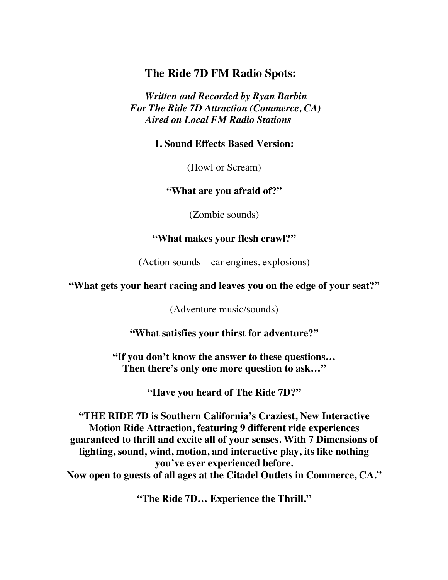## **The Ride 7D FM Radio Spots:**

*Written and Recorded by Ryan Barbin For The Ride 7D Attraction (Commerce, CA) Aired on Local FM Radio Stations*

**1. Sound Effects Based Version:**

(Howl or Scream)

**"What are you afraid of?"**

(Zombie sounds)

## **"What makes your flesh crawl?"**

(Action sounds – car engines, explosions)

## **"What gets your heart racing and leaves you on the edge of your seat?"**

(Adventure music/sounds)

**"What satisfies your thirst for adventure?"**

**"If you don't know the answer to these questions… Then there's only one more question to ask…"**

**"Have you heard of The Ride 7D?"**

**"THE RIDE 7D is Southern California's Craziest, New Interactive Motion Ride Attraction, featuring 9 different ride experiences guaranteed to thrill and excite all of your senses. With 7 Dimensions of lighting, sound, wind, motion, and interactive play, its like nothing you've ever experienced before. Now open to guests of all ages at the Citadel Outlets in Commerce, CA."**

**"The Ride 7D… Experience the Thrill."**